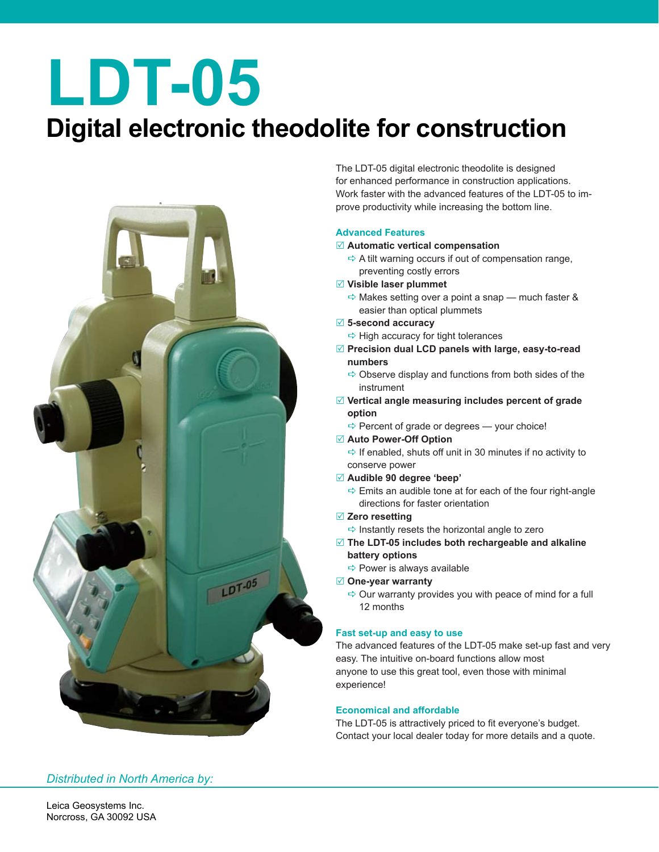# **LDT-05**

## **Digital electronic theodolite for construction**



The LDT-05 digital electronic theodolite is designed for enhanced performance in construction applications. Work faster with the advanced features of the LDT-05 to improve productivity while increasing the bottom line.

### **Advanced Features**

#### $⊓$  **Automatic vertical compensation**

- $\Rightarrow$  A tilt warning occurs if out of compensation range, preventing costly errors
- R **Visible laser plummet**
	- $\Rightarrow$  Makes setting over a point a snap much faster & easier than optical plummets
- R **5-second accuracy**
- $\Rightarrow$  High accuracy for tight tolerances
- R **Precision dual LCD panels with large, easy-to-read numbers**
	- $\Rightarrow$  Observe display and functions from both sides of the instrument
- R **Vertical angle measuring includes percent of grade option**
	- $\Rightarrow$  Percent of grade or degrees your choice!
- Auto Power-Off Option
	- $\Rightarrow$  If enabled, shuts off unit in 30 minutes if no activity to conserve power
- R **Audible 90 degree 'beep'**
	- $\Rightarrow$  Emits an audible tone at for each of the four right-angle directions for faster orientation

#### R **Zero resetting**

- $\Rightarrow$  Instantly resets the horizontal angle to zero
- R **The LDT-05 includes both rechargeable and alkaline battery options**
	- $\Rightarrow$  Power is always available
- R **One-year warranty**
	- $\Rightarrow$  Our warranty provides you with peace of mind for a full 12 months

### **Fast set-up and easy to use**

The advanced features of the LDT-05 make set-up fast and very easy. The intuitive on-board functions allow most anyone to use this great tool, even those with minimal experience!

#### **Economical and affordable**

The LDT-05 is attractively priced to fit everyone's budget. Contact your local dealer today for more details and a quote.

### *Distributed in North America by:*